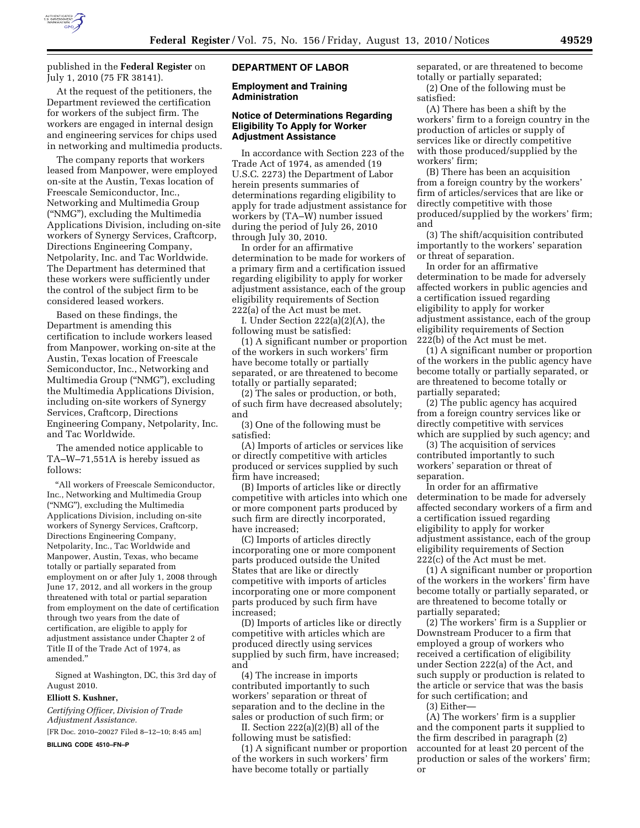

published in the **Federal Register** on July 1, 2010 (75 FR 38141).

At the request of the petitioners, the Department reviewed the certification for workers of the subject firm. The workers are engaged in internal design and engineering services for chips used in networking and multimedia products.

The company reports that workers leased from Manpower, were employed on-site at the Austin, Texas location of Freescale Semiconductor, Inc., Networking and Multimedia Group (''NMG''), excluding the Multimedia Applications Division, including on-site workers of Synergy Services, Craftcorp, Directions Engineering Company, Netpolarity, Inc. and Tac Worldwide. The Department has determined that these workers were sufficiently under the control of the subject firm to be considered leased workers.

Based on these findings, the Department is amending this certification to include workers leased from Manpower, working on-site at the Austin, Texas location of Freescale Semiconductor, Inc., Networking and Multimedia Group (''NMG''), excluding the Multimedia Applications Division, including on-site workers of Synergy Services, Craftcorp, Directions Engineering Company, Netpolarity, Inc. and Tac Worldwide.

The amended notice applicable to TA–W–71,551A is hereby issued as follows:

''All workers of Freescale Semiconductor, Inc., Networking and Multimedia Group (''NMG''), excluding the Multimedia Applications Division, including on-site workers of Synergy Services, Craftcorp, Directions Engineering Company, Netpolarity, Inc., Tac Worldwide and Manpower, Austin, Texas, who became totally or partially separated from employment on or after July 1, 2008 through June 17, 2012, and all workers in the group threatened with total or partial separation from employment on the date of certification through two years from the date of certification, are eligible to apply for adjustment assistance under Chapter 2 of Title II of the Trade Act of 1974, as amended.''

Signed at Washington, DC, this 3rd day of August 2010.

#### **Elliott S. Kushner,**

*Certifying Officer, Division of Trade Adjustment Assistance.* 

[FR Doc. 2010–20027 Filed 8–12–10; 8:45 am]

**BILLING CODE 4510–FN–P** 

### **DEPARTMENT OF LABOR**

### **Employment and Training Administration**

## **Notice of Determinations Regarding Eligibility To Apply for Worker Adjustment Assistance**

In accordance with Section 223 of the Trade Act of 1974, as amended (19 U.S.C. 2273) the Department of Labor herein presents summaries of determinations regarding eligibility to apply for trade adjustment assistance for workers by (TA–W) number issued during the period of July 26, 2010 through July 30, 2010.

In order for an affirmative determination to be made for workers of a primary firm and a certification issued regarding eligibility to apply for worker adjustment assistance, each of the group eligibility requirements of Section 222(a) of the Act must be met.

I. Under Section 222(a)(2)(A), the following must be satisfied:

(1) A significant number or proportion of the workers in such workers' firm have become totally or partially separated, or are threatened to become totally or partially separated;

(2) The sales or production, or both, of such firm have decreased absolutely; and

(3) One of the following must be satisfied:

(A) Imports of articles or services like or directly competitive with articles produced or services supplied by such firm have increased;

(B) Imports of articles like or directly competitive with articles into which one or more component parts produced by such firm are directly incorporated, have increased;

(C) Imports of articles directly incorporating one or more component parts produced outside the United States that are like or directly competitive with imports of articles incorporating one or more component parts produced by such firm have increased;

(D) Imports of articles like or directly competitive with articles which are produced directly using services supplied by such firm, have increased; and

(4) The increase in imports contributed importantly to such workers' separation or threat of separation and to the decline in the sales or production of such firm; or

II. Section 222(a)(2)(B) all of the following must be satisfied:

(1) A significant number or proportion of the workers in such workers' firm have become totally or partially

separated, or are threatened to become totally or partially separated;

(2) One of the following must be satisfied:

(A) There has been a shift by the workers' firm to a foreign country in the production of articles or supply of services like or directly competitive with those produced/supplied by the workers' firm;

(B) There has been an acquisition from a foreign country by the workers' firm of articles/services that are like or directly competitive with those produced/supplied by the workers' firm; and

(3) The shift/acquisition contributed importantly to the workers' separation or threat of separation.

In order for an affirmative determination to be made for adversely affected workers in public agencies and a certification issued regarding eligibility to apply for worker adjustment assistance, each of the group eligibility requirements of Section 222(b) of the Act must be met.

(1) A significant number or proportion of the workers in the public agency have become totally or partially separated, or are threatened to become totally or partially separated;

(2) The public agency has acquired from a foreign country services like or directly competitive with services which are supplied by such agency; and

(3) The acquisition of services contributed importantly to such workers' separation or threat of separation.

In order for an affirmative determination to be made for adversely affected secondary workers of a firm and a certification issued regarding eligibility to apply for worker adjustment assistance, each of the group eligibility requirements of Section 222(c) of the Act must be met.

(1) A significant number or proportion of the workers in the workers' firm have become totally or partially separated, or are threatened to become totally or partially separated;

(2) The workers' firm is a Supplier or Downstream Producer to a firm that employed a group of workers who received a certification of eligibility under Section 222(a) of the Act, and such supply or production is related to the article or service that was the basis for such certification; and

(3) Either—

(A) The workers' firm is a supplier and the component parts it supplied to the firm described in paragraph (2) accounted for at least 20 percent of the production or sales of the workers' firm; or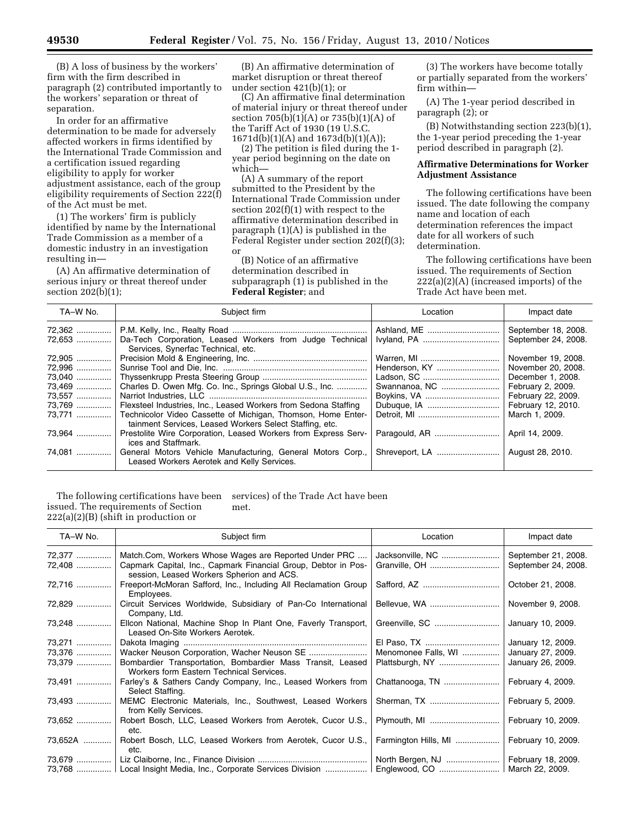(B) A loss of business by the workers' firm with the firm described in paragraph (2) contributed importantly to the workers' separation or threat of separation.

In order for an affirmative determination to be made for adversely affected workers in firms identified by the International Trade Commission and a certification issued regarding eligibility to apply for worker adjustment assistance, each of the group eligibility requirements of Section 222(f) of the Act must be met.

(1) The workers' firm is publicly identified by name by the International Trade Commission as a member of a domestic industry in an investigation resulting in—

(A) An affirmative determination of serious injury or threat thereof under section 202(b)(1);

(B) An affirmative determination of market disruption or threat thereof under section 421(b)(1); or

(C) An affirmative final determination of material injury or threat thereof under section 705(b)(1)(A) or 735(b)(1)(A) of the Tariff Act of 1930 (19 U.S.C. 1671d(b)(1)(A) and 1673d(b)(1)(A));

(2) The petition is filed during the 1 year period beginning on the date on which—

(A) A summary of the report submitted to the President by the International Trade Commission under section 202(f)(1) with respect to the affirmative determination described in paragraph (1)(A) is published in the Federal Register under section 202(f)(3); or

(B) Notice of an affirmative determination described in subparagraph (1) is published in the **Federal Register**; and

(3) The workers have become totally or partially separated from the workers' firm within—

(A) The 1-year period described in paragraph (2); or

(B) Notwithstanding section 223(b)(1), the 1-year period preceding the 1-year period described in paragraph (2).

## **Affirmative Determinations for Worker Adjustment Assistance**

The following certifications have been issued. The date following the company name and location of each determination references the impact date for all workers of such determination.

The following certifications have been issued. The requirements of Section 222(a)(2)(A) (increased imports) of the Trade Act have been met.

| TA-W No. | Subject firm                                                                                              | Location      | Impact date         |
|----------|-----------------------------------------------------------------------------------------------------------|---------------|---------------------|
|          |                                                                                                           | Ashland, ME   | September 18, 2008. |
| 72,653   | Da-Tech Corporation, Leased Workers from Judge Technical                                                  |               | September 24, 2008. |
|          | Services, Synerfac Technical, etc.                                                                        |               |                     |
| 72,905   |                                                                                                           |               | November 19, 2008.  |
| 72,996   |                                                                                                           |               | November 20, 2008.  |
| 73,040   |                                                                                                           |               | December 1, 2008.   |
| 73,469   | Charles D. Owen Mfg. Co. Inc., Springs Global U.S., Inc.                                                  | Swannanoa, NC | February 2, 2009.   |
| 73,557   |                                                                                                           |               | February 22, 2009.  |
| 73,769   | Flexsteel Industries, Inc., Leased Workers from Sedona Staffing                                           |               | February 12, 2010.  |
| 73.771   | Technicolor Video Cassette of Michigan, Thomson, Home Enter-                                              |               | March 1, 2009.      |
|          | tainment Services, Leased Workers Select Staffing, etc.                                                   |               |                     |
| 73.964   | Prestolite Wire Corporation, Leased Workers from Express Serv-<br>ices and Staffmark.                     |               | April 14, 2009.     |
| 74,081   | General Motors Vehicle Manufacturing, General Motors Corp.,<br>Leased Workers Aerotek and Kelly Services. |               | August 28, 2010.    |

The following certifications have been issued. The requirements of Section  $222(a)(2)(B)$  (shift in production or services) of the Trade Act have been met.

| TA-W No. | Subject firm                                                                                                | Location             | Impact date         |
|----------|-------------------------------------------------------------------------------------------------------------|----------------------|---------------------|
| 72,377   | Match.Com, Workers Whose Wages are Reported Under PRC                                                       | Jacksonville, NC     | September 21, 2008. |
| 72,408   | Capmark Capital, Inc., Capmark Financial Group, Debtor in Pos-<br>session, Leased Workers Spherion and ACS. |                      | September 24, 2008. |
| 72,716   | Freeport-McMoran Safford, Inc., Including All Reclamation Group<br>Employees.                               |                      | October 21, 2008.   |
| 72,829   | Circuit Services Worldwide, Subsidiary of Pan-Co International<br>Company, Ltd.                             |                      | November 9, 2008.   |
| 73,248   | Ellcon National, Machine Shop In Plant One, Faverly Transport,<br>Leased On-Site Workers Aerotek.           |                      | January 10, 2009.   |
|          |                                                                                                             |                      | January 12, 2009.   |
| 73,376   |                                                                                                             | Menomonee Falls, WI  | January 27, 2009.   |
| 73,379   | Bombardier Transportation, Bombardier Mass Transit, Leased<br>Workers form Eastern Technical Services.      | Plattsburgh, NY      | January 26, 2009.   |
| 73,491   | Farley's & Sathers Candy Company, Inc., Leased Workers from<br>Select Staffing.                             | Chattanooga, TN      | February 4, 2009.   |
| 73,493   | MEMC Electronic Materials, Inc., Southwest, Leased Workers<br>from Kelly Services.                          | Sherman, TX          | February 5, 2009.   |
| 73,652   | Robert Bosch, LLC, Leased Workers from Aerotek, Cucor U.S.,<br>etc.                                         |                      | February 10, 2009.  |
| 73,652A  | Robert Bosch, LLC, Leased Workers from Aerotek, Cucor U.S.,<br>etc.                                         | Farmington Hills, MI | February 10, 2009.  |
| 73,679   |                                                                                                             | North Bergen, NJ     | February 18, 2009.  |
|          | 73,768    Local Insight Media, Inc., Corporate Services Division                                            |                      | March 22, 2009.     |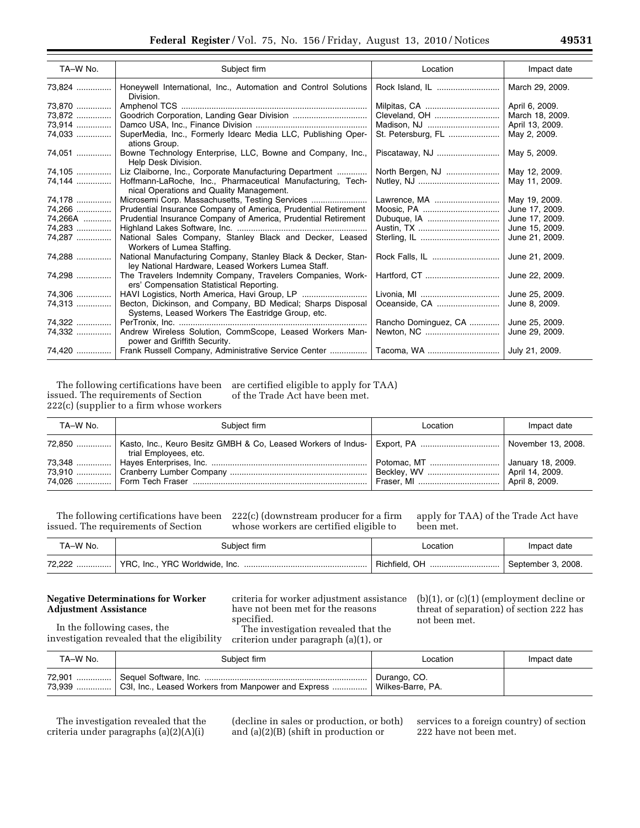| TA-W No. | Subject firm                                                                                                        | Location             | Impact date     |
|----------|---------------------------------------------------------------------------------------------------------------------|----------------------|-----------------|
|          |                                                                                                                     |                      |                 |
| 73,824   | Honeywell International, Inc., Automation and Control Solutions<br>Division.                                        |                      | March 29, 2009. |
| 73,870   |                                                                                                                     | Milpitas, CA         | April 6, 2009.  |
| 73,872   |                                                                                                                     | Cleveland, OH        | March 18, 2009. |
| 73,914   |                                                                                                                     | Madison, NJ          | April 13, 2009. |
| 74,033   | SuperMedia, Inc., Formerly Idearc Media LLC, Publishing Oper-<br>ations Group.                                      | St. Petersburg, FL   | May 2, 2009.    |
| 74,051   | Bowne Technology Enterprise, LLC, Bowne and Company, Inc.,<br>Help Desk Division.                                   |                      | May 5, 2009.    |
| 74,105   | Liz Claiborne, Inc., Corporate Manufacturing Department                                                             | North Bergen, NJ     | May 12, 2009.   |
| 74,144   | Hoffmann-LaRoche, Inc., Pharmaceutical Manufacturing, Tech-                                                         |                      | May 11, 2009.   |
|          | nical Operations and Quality Management.                                                                            |                      |                 |
| 74,178   | Microsemi Corp. Massachusetts, Testing Services                                                                     | Lawrence, MA         | May 19, 2009.   |
| 74,266   | Prudential Insurance Company of America, Prudential Retirement                                                      |                      | June 17, 2009.  |
| 74,266A  | Prudential Insurance Company of America, Prudential Retirement                                                      |                      | June 17, 2009.  |
| 74,283   |                                                                                                                     |                      | June 15, 2009.  |
| 74,287   | National Sales Company, Stanley Black and Decker, Leased<br>Workers of Lumea Staffing.                              |                      | June 21, 2009.  |
| 74,288   | National Manufacturing Company, Stanley Black & Decker, Stan-<br>ley National Hardware, Leased Workers Lumea Staff. |                      | June 21, 2009.  |
| 74,298   | The Travelers Indemnity Company, Travelers Companies, Work-<br>ers' Compensation Statistical Reporting.             |                      | June 22, 2009.  |
| 74,306   |                                                                                                                     |                      | June 25, 2009.  |
| 74,313   | Becton, Dickinson, and Company, BD Medical; Sharps Disposal<br>Systems, Leased Workers The Eastridge Group, etc.    |                      | June 8, 2009.   |
| 74,322   |                                                                                                                     | Rancho Dominguez, CA | June 25, 2009.  |
| 74,332   | Andrew Wireless Solution, CommScope, Leased Workers Man-                                                            |                      | June 29, 2009.  |
|          | power and Griffith Security.                                                                                        |                      |                 |
|          |                                                                                                                     |                      | July 21, 2009.  |

The following certifications have been issued. The requirements of Section 222(c) (supplier to a firm whose workers are certified eligible to apply for TAA) of the Trade Act have been met.

TA–W No.  $\qquad \qquad$  Subject firm  $\qquad \qquad$  Location  $\qquad \qquad$  Impact date 72,850 ............... | Kasto, Inc., Keuro Besitz GMBH & Co, Leased Workers of Industrial Employees, etc. Export, PA .................................. November 13, 2008. 73,348 ............... Hayes Enterprises, Inc. ................................................................... Potomac, MT .............................. January 18, 2009. 73,910 ............... Cranberry Lumber Company ........................................................... Beckley, WV ............................... April 14, 2009. 74,026 ............... Form Tech Fraser ........................................................................... Fraser, MI ................................... April 8, 2009.

The following certifications have been issued. The requirements of Section

222(c) (downstream producer for a firm whose workers are certified eligible to

apply for TAA) of the Trade Act have been met.

| TA-W No. | Subiect firm | .ocation      | Impact date        |
|----------|--------------|---------------|--------------------|
| 72,222   |              | Richfield, OH | September 3, 2008. |

## **Negative Determinations for Worker Adjustment Assistance**

In the following cases, the investigation revealed that the eligibility

criteria for worker adjustment assistance have not been met for the reasons specified.

The investigation revealed that the criterion under paragraph (a)(1), or

(b)(1), or (c)(1) (employment decline or threat of separation) of section 222 has not been met.

| TA–W No. | Subject firm                                        | Location          | Impact date |
|----------|-----------------------------------------------------|-------------------|-------------|
| 72,901 ! |                                                     | Durango, CO.      |             |
| 73.939   | C3I, Inc., Leased Workers from Manpower and Express | Wilkes-Barre, PA. |             |

The investigation revealed that the criteria under paragraphs (a)(2)(A)(i)

(decline in sales or production, or both) and (a)(2)(B) (shift in production or

services to a foreign country) of section 222 have not been met.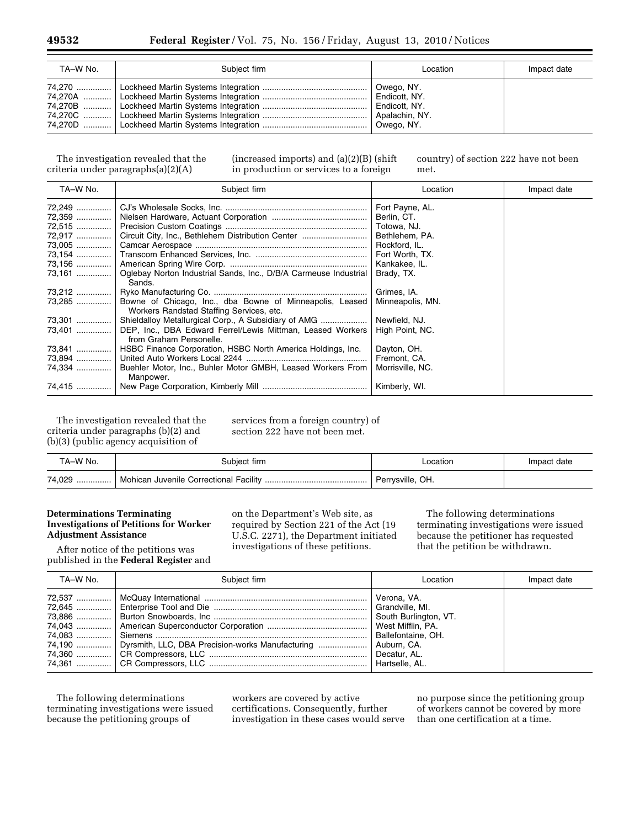| TA-W No. | Subject firm | Location                                                                     | Impact date |
|----------|--------------|------------------------------------------------------------------------------|-------------|
|          |              | Owego, NY.<br>Endicott, NY.<br>Endicott, NY.<br>Apalachin, NY.<br>Owego, NY. |             |

The investigation revealed that the criteria under paragraphs(a)(2)(A)

(increased imports) and (a)(2)(B) (shift in production or services to a foreign

country) of section 222 have not been met.

| TA-W No. | Subject firm                                                          | Location         | Impact date |
|----------|-----------------------------------------------------------------------|------------------|-------------|
| 72,249   |                                                                       | Fort Payne, AL.  |             |
|          |                                                                       | Berlin, CT.      |             |
| 72,515   |                                                                       | Totowa, NJ.      |             |
| 72,917   | Circuit City, Inc., Bethlehem Distribution Center                     | Bethlehem, PA.   |             |
|          |                                                                       | Rockford, IL.    |             |
|          |                                                                       | Fort Worth, TX.  |             |
| 73,156   |                                                                       | Kankakee, IL.    |             |
| 73,161   | Oglebay Norton Industrial Sands, Inc., D/B/A Carmeuse Industrial      | Brady, TX.       |             |
|          | Sands.                                                                |                  |             |
| 73,212   |                                                                       | Grimes, IA.      |             |
| 73,285   | Bowne of Chicago, Inc., dba Bowne of Minneapolis, Leased              | Minneapolis, MN. |             |
|          | Workers Randstad Staffing Services, etc.                              |                  |             |
| 73,301   | Shieldalloy Metallurgical Corp., A Subsidiary of AMG                  | Newfield, NJ.    |             |
| 73,401   | DEP, Inc., DBA Edward Ferrel/Lewis Mittman, Leased Workers            | High Point, NC.  |             |
|          | from Graham Personelle.                                               |                  |             |
|          | 73,841    HSBC Finance Corporation, HSBC North America Holdings, Inc. | Dayton, OH.      |             |
| 73,894   |                                                                       | Fremont, CA.     |             |
| 74,334   | Buehler Motor, Inc., Buhler Motor GMBH, Leased Workers From           | Morrisville, NC. |             |
|          | Manpower.                                                             |                  |             |
|          |                                                                       | Kimberly, WI.    |             |

The investigation revealed that the criteria under paragraphs (b)(2) and (b)(3) (public agency acquisition of

services from a foreign country) of section 222 have not been met.

| TA-W No. | Subiect firm. | _ocation         | Impact date |
|----------|---------------|------------------|-------------|
| 74,029   |               | Perrysville, OH. |             |

## **Determinations Terminating Investigations of Petitions for Worker Adjustment Assistance**

After notice of the petitions was published in the **Federal Register** and on the Department's Web site, as required by Section 221 of the Act (19 U.S.C. 2271), the Department initiated investigations of these petitions.

The following determinations terminating investigations were issued because the petitioner has requested that the petition be withdrawn.

| TA-W No. | Subiect firm                                                              | Location | Impact date |
|----------|---------------------------------------------------------------------------|----------|-------------|
|          | 74.190    Dyrsmith, LLC, DBA Precision-works Manufacturing    Auburn, CA. |          |             |

The following determinations terminating investigations were issued because the petitioning groups of

workers are covered by active certifications. Consequently, further investigation in these cases would serve

no purpose since the petitioning group of workers cannot be covered by more than one certification at a time.